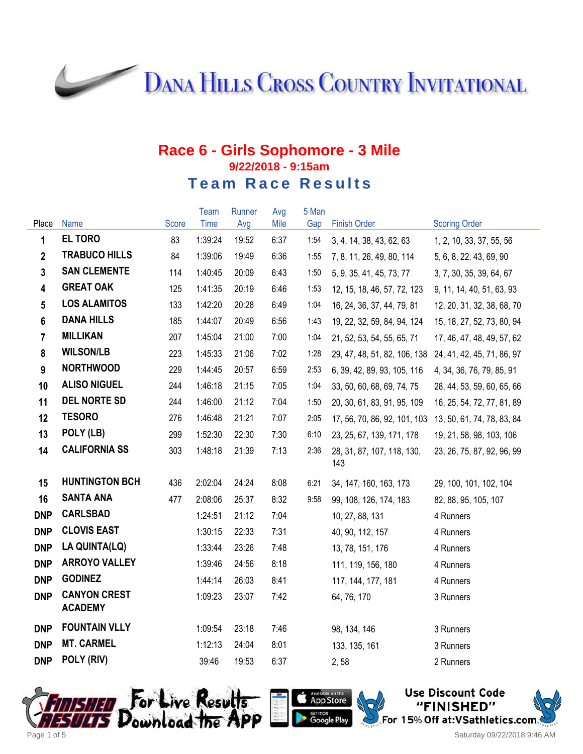**DANA HILLS CROSS COUNTRY INVITATIONAL** 

#### **Race 6 - Girls Sophomore - 3 Mile 9/22/2018 - 9:15am Team Race Results**

|                         |                                       |       | Team    | Runner | Avg  | 5 Man |                                   |                            |
|-------------------------|---------------------------------------|-------|---------|--------|------|-------|-----------------------------------|----------------------------|
| Place                   | <b>Name</b>                           | Score | Time    | Avg    | Mile | Gap   | <b>Finish Order</b>               | <b>Scoring Order</b>       |
| 1                       | <b>EL TORO</b>                        | 83    | 1:39:24 | 19:52  | 6:37 | 1:54  | 3, 4, 14, 38, 43, 62, 63          | 1, 2, 10, 33, 37, 55, 56   |
| $\mathbf{2}$            | <b>TRABUCO HILLS</b>                  | 84    | 1:39:06 | 19:49  | 6:36 | 1:55  | 7, 8, 11, 26, 49, 80, 114         | 5, 6, 8, 22, 43, 69, 90    |
| $\overline{3}$          | <b>SAN CLEMENTE</b>                   | 114   | 1:40:45 | 20:09  | 6:43 | 1:50  | 5, 9, 35, 41, 45, 73, 77          | 3, 7, 30, 35, 39, 64, 67   |
| $\overline{\mathbf{4}}$ | <b>GREAT OAK</b>                      | 125   | 1:41:35 | 20:19  | 6:46 | 1:53  | 12, 15, 18, 46, 57, 72, 123       | 9, 11, 14, 40, 51, 63, 93  |
| $5\phantom{.0}$         | <b>LOS ALAMITOS</b>                   | 133   | 1:42:20 | 20:28  | 6:49 | 1:04  | 16, 24, 36, 37, 44, 79, 81        | 12, 20, 31, 32, 38, 68, 70 |
| $6\phantom{a}$          | <b>DANA HILLS</b>                     | 185   | 1:44:07 | 20:49  | 6:56 | 1:43  | 19, 22, 32, 59, 84, 94, 124       | 15, 18, 27, 52, 73, 80, 94 |
| $\overline{7}$          | <b>MILLIKAN</b>                       | 207   | 1:45:04 | 21:00  | 7:00 | 1:04  | 21, 52, 53, 54, 55, 65, 71        | 17, 46, 47, 48, 49, 57, 62 |
| 8                       | <b>WILSON/LB</b>                      | 223   | 1:45:33 | 21:06  | 7:02 | 1:28  | 29, 47, 48, 51, 82, 106, 138      | 24, 41, 42, 45, 71, 86, 97 |
| 9                       | <b>NORTHWOOD</b>                      | 229   | 1:44:45 | 20:57  | 6:59 | 2:53  | 6, 39, 42, 89, 93, 105, 116       | 4, 34, 36, 76, 79, 85, 91  |
| 10                      | <b>ALISO NIGUEL</b>                   | 244   | 1:46:18 | 21:15  | 7:05 | 1:04  | 33, 50, 60, 68, 69, 74, 75        | 28, 44, 53, 59, 60, 65, 66 |
| 11                      | <b>DEL NORTE SD</b>                   | 244   | 1:46:00 | 21:12  | 7:04 | 1:50  | 20, 30, 61, 83, 91, 95, 109       | 16, 25, 54, 72, 77, 81, 89 |
| 12                      | <b>TESORO</b>                         | 276   | 1:46:48 | 21:21  | 7:07 | 2:05  | 17, 56, 70, 86, 92, 101, 103      | 13, 50, 61, 74, 78, 83, 84 |
| 13                      | POLY (LB)                             | 299   | 1:52:30 | 22:30  | 7:30 | 6:10  | 23, 25, 67, 139, 171, 178         | 19, 21, 58, 98, 103, 106   |
| 14                      | <b>CALIFORNIA SS</b>                  | 303   | 1:48:18 | 21:39  | 7:13 | 2:36  | 28, 31, 87, 107, 118, 130,<br>143 | 23, 26, 75, 87, 92, 96, 99 |
| 15                      | <b>HUNTINGTON BCH</b>                 | 436   | 2:02:04 | 24:24  | 8:08 | 6:21  | 34, 147, 160, 163, 173            | 29, 100, 101, 102, 104     |
| 16                      | <b>SANTA ANA</b>                      | 477   | 2:08:06 | 25:37  | 8:32 | 9:58  | 99, 108, 126, 174, 183            | 82, 88, 95, 105, 107       |
| <b>DNP</b>              | <b>CARLSBAD</b>                       |       | 1:24:51 | 21:12  | 7:04 |       | 10, 27, 88, 131                   | 4 Runners                  |
| <b>DNP</b>              | <b>CLOVIS EAST</b>                    |       | 1:30:15 | 22:33  | 7:31 |       | 40, 90, 112, 157                  | 4 Runners                  |
| <b>DNP</b>              | LA QUINTA(LQ)                         |       | 1:33:44 | 23:26  | 7:48 |       | 13, 78, 151, 176                  | 4 Runners                  |
| <b>DNP</b>              | <b>ARROYO VALLEY</b>                  |       | 1:39:46 | 24:56  | 8:18 |       | 111, 119, 156, 180                | 4 Runners                  |
| <b>DNP</b>              | <b>GODINEZ</b>                        |       | 1:44:14 | 26:03  | 8:41 |       | 117, 144, 177, 181                | 4 Runners                  |
| <b>DNP</b>              | <b>CANYON CREST</b><br><b>ACADEMY</b> |       | 1:09:23 | 23:07  | 7:42 |       | 64, 76, 170                       | 3 Runners                  |
| <b>DNP</b>              | <b>FOUNTAIN VLLY</b>                  |       | 1:09:54 | 23:18  | 7:46 |       | 98, 134, 146                      | 3 Runners                  |
| <b>DNP</b>              | <b>MT. CARMEL</b>                     |       | 1:12:13 | 24:04  | 8:01 |       | 133, 135, 161                     | 3 Runners                  |
| <b>DNP</b>              | POLY (RIV)                            |       | 39:46   | 19:53  | 6:37 |       | 2,58                              | 2 Runners                  |







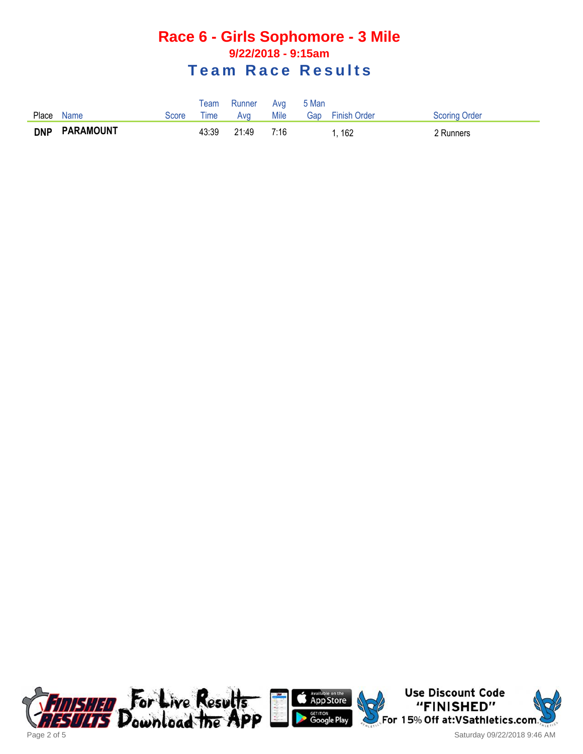#### **Race 6 - Girls Sophomore - 3 Mile 9/22/2018 - 9:15am Team Race Results**

|            |            |       | Feam | Runner Avg 5 Man |      |                  |                      |
|------------|------------|-------|------|------------------|------|------------------|----------------------|
|            | Place Name | Score | Time | Ava              | Mile | Gap Finish Order | <b>Scoring Order</b> |
| <b>DNP</b> | PARAMOUNT  |       |      | 43:39 21:49      | 7:16 | . 162            | 2 Runners            |





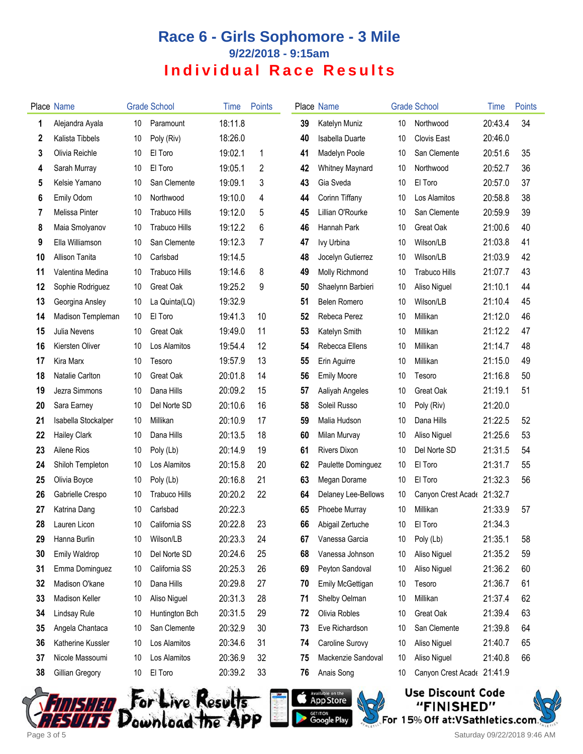# **Race 6 - Girls Sophomore - 3 Mile 9/22/2018 - 9:15am Individual Race Results**

|    | Place Name           |    | <b>Grade School</b>  | Time    | Points |    | Place Name             |    | <b>Grade School</b>        | Time    | <b>Points</b> |
|----|----------------------|----|----------------------|---------|--------|----|------------------------|----|----------------------------|---------|---------------|
| 1  | Alejandra Ayala      | 10 | Paramount            | 18:11.8 |        | 39 | Katelyn Muniz          | 10 | Northwood                  | 20:43.4 | 34            |
| 2  | Kalista Tibbels      | 10 | Poly (Riv)           | 18:26.0 |        | 40 | Isabella Duarte        | 10 | <b>Clovis East</b>         | 20:46.0 |               |
| 3  | Olivia Reichle       | 10 | El Toro              | 19:02.1 | 1      | 41 | Madelyn Poole          | 10 | San Clemente               | 20:51.6 | 35            |
| 4  | Sarah Murray         | 10 | El Toro              | 19:05.1 | 2      | 42 | <b>Whitney Maynard</b> | 10 | Northwood                  | 20:52.7 | 36            |
| 5  | Kelsie Yamano        | 10 | San Clemente         | 19:09.1 | 3      | 43 | Gia Sveda              | 10 | El Toro                    | 20:57.0 | 37            |
| 6  | Emily Odom           | 10 | Northwood            | 19:10.0 | 4      | 44 | Corinn Tiffany         | 10 | Los Alamitos               | 20:58.8 | 38            |
| 7  | Melissa Pinter       | 10 | Trabuco Hills        | 19:12.0 | 5      | 45 | Lillian O'Rourke       | 10 | San Clemente               | 20:59.9 | 39            |
| 8  | Maia Smolyanov       | 10 | <b>Trabuco Hills</b> | 19:12.2 | 6      | 46 | Hannah Park            | 10 | Great Oak                  | 21:00.6 | 40            |
| 9  | Ella Williamson      | 10 | San Clemente         | 19:12.3 | 7      | 47 | Ivy Urbina             | 10 | Wilson/LB                  | 21:03.8 | 41            |
| 10 | Allison Tanita       | 10 | Carlsbad             | 19:14.5 |        | 48 | Jocelyn Gutierrez      | 10 | Wilson/LB                  | 21:03.9 | 42            |
| 11 | Valentina Medina     | 10 | <b>Trabuco Hills</b> | 19:14.6 | 8      | 49 | Molly Richmond         | 10 | <b>Trabuco Hills</b>       | 21:07.7 | 43            |
| 12 | Sophie Rodriguez     | 10 | Great Oak            | 19:25.2 | 9      | 50 | Shaelynn Barbieri      | 10 | Aliso Niguel               | 21:10.1 | 44            |
| 13 | Georgina Ansley      | 10 | La Quinta(LQ)        | 19:32.9 |        | 51 | Belen Romero           | 10 | Wilson/LB                  | 21:10.4 | 45            |
| 14 | Madison Templeman    | 10 | El Toro              | 19:41.3 | 10     | 52 | Rebeca Perez           | 10 | Millikan                   | 21:12.0 | 46            |
| 15 | Julia Nevens         | 10 | Great Oak            | 19:49.0 | 11     | 53 | Katelyn Smith          | 10 | Millikan                   | 21:12.2 | 47            |
| 16 | Kiersten Oliver      | 10 | Los Alamitos         | 19:54.4 | 12     | 54 | Rebecca Ellens         | 10 | Millikan                   | 21:14.7 | 48            |
| 17 | Kira Marx            | 10 | Tesoro               | 19:57.9 | 13     | 55 | Erin Aguirre           | 10 | Millikan                   | 21:15.0 | 49            |
| 18 | Natalie Carlton      | 10 | Great Oak            | 20:01.8 | 14     | 56 | <b>Emily Moore</b>     | 10 | Tesoro                     | 21:16.8 | 50            |
| 19 | Jezra Simmons        | 10 | Dana Hills           | 20:09.2 | 15     | 57 | Aaliyah Angeles        | 10 | Great Oak                  | 21:19.1 | 51            |
| 20 | Sara Earney          | 10 | Del Norte SD         | 20:10.6 | 16     | 58 | Soleil Russo           | 10 | Poly (Riv)                 | 21:20.0 |               |
| 21 | Isabella Stockalper  | 10 | Millikan             | 20:10.9 | 17     | 59 | Malia Hudson           | 10 | Dana Hills                 | 21:22.5 | 52            |
| 22 | <b>Hailey Clark</b>  | 10 | Dana Hills           | 20:13.5 | 18     | 60 | Milan Murvay           | 10 | Aliso Niguel               | 21:25.6 | 53            |
| 23 | Ailene Rios          | 10 | Poly (Lb)            | 20:14.9 | 19     | 61 | <b>Rivers Dixon</b>    | 10 | Del Norte SD               | 21:31.5 | 54            |
| 24 | Shiloh Templeton     | 10 | Los Alamitos         | 20:15.8 | 20     | 62 | Paulette Dominguez     | 10 | El Toro                    | 21:31.7 | 55            |
| 25 | Olivia Boyce         | 10 | Poly (Lb)            | 20:16.8 | 21     | 63 | Megan Dorame           | 10 | El Toro                    | 21:32.3 | 56            |
| 26 | Gabrielle Crespo     | 10 | <b>Trabuco Hills</b> | 20:20.2 | 22     | 64 | Delaney Lee-Bellows    | 10 | Canyon Crest Acade         | 21:32.7 |               |
| 27 | Katrina Dang         | 10 | Carlsbad             | 20:22.3 |        | 65 | Phoebe Murray          | 10 | Millikan                   | 21:33.9 | 57            |
| 28 | Lauren Licon         | 10 | California SS        | 20:22.8 | 23     | 66 | Abigail Zertuche       | 10 | El Toro                    | 21:34.3 |               |
| 29 | Hanna Burlin         | 10 | Wilson/LB            | 20:23.3 | 24     | 67 | Vanessa Garcia         | 10 | Poly (Lb)                  | 21:35.1 | 58            |
| 30 | <b>Emily Waldrop</b> | 10 | Del Norte SD         | 20:24.6 | 25     | 68 | Vanessa Johnson        | 10 | Aliso Niguel               | 21:35.2 | 59            |
| 31 | Emma Dominguez       | 10 | California SS        | 20:25.3 | 26     | 69 | Peyton Sandoval        | 10 | Aliso Niguel               | 21:36.2 | 60            |
| 32 | Madison O'kane       | 10 | Dana Hills           | 20:29.8 | 27     | 70 | Emily McGettigan       | 10 | Tesoro                     | 21:36.7 | 61            |
| 33 | Madison Keller       | 10 | Aliso Niguel         | 20:31.3 | 28     | 71 | Shelby Oelman          | 10 | Millikan                   | 21:37.4 | 62            |
| 34 | Lindsay Rule         | 10 | Huntington Bch       | 20:31.5 | 29     | 72 | Olivia Robles          | 10 | Great Oak                  | 21:39.4 | 63            |
| 35 | Angela Chantaca      | 10 | San Clemente         | 20:32.9 | 30     | 73 | Eve Richardson         | 10 | San Clemente               | 21:39.8 | 64            |
| 36 | Katherine Kussler    | 10 | Los Alamitos         | 20:34.6 | 31     | 74 | Caroline Surovy        | 10 | Aliso Niguel               | 21:40.7 | 65            |
| 37 | Nicole Massoumi      | 10 | Los Alamitos         | 20:36.9 | 32     | 75 | Mackenzie Sandoval     | 10 | Aliso Niguel               | 21:40.8 | 66            |
| 38 | Gillian Gregory      | 10 | El Toro              | 20:39.2 | 33     | 76 | Anais Song             | 10 | Canyon Crest Acade 21:41.9 |         |               |







FINISHED For Live Result<del>s</del><br>ESULTS Download the APP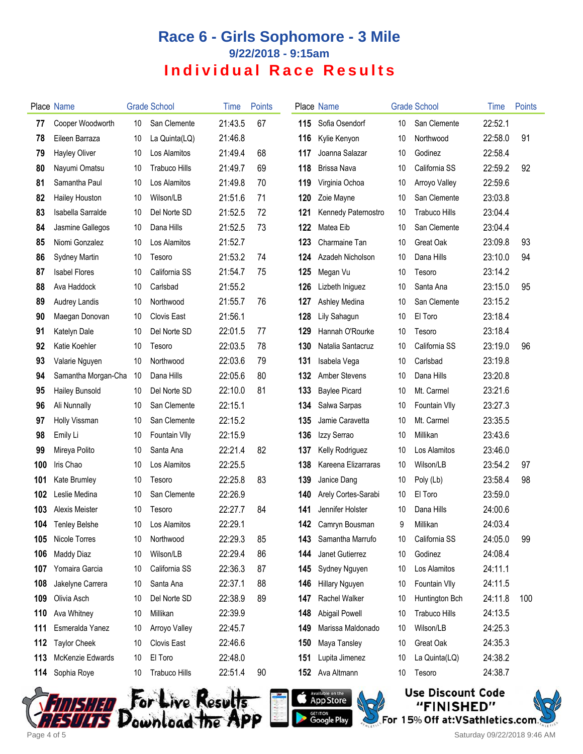# **Race 6 - Girls Sophomore - 3 Mile 9/22/2018 - 9:15am Individual Race Results**

|     | Place Name            |    | <b>Grade School</b>  | <b>Time</b> | <b>Points</b> |     | <b>Place Name</b>     |    | <b>Grade School</b>  | Time    | Points |
|-----|-----------------------|----|----------------------|-------------|---------------|-----|-----------------------|----|----------------------|---------|--------|
| 77  | Cooper Woodworth      | 10 | San Clemente         | 21:43.5     | 67            | 115 | Sofia Osendorf        | 10 | San Clemente         | 22:52.1 |        |
| 78  | Eileen Barraza        | 10 | La Quinta(LQ)        | 21:46.8     |               | 116 | Kylie Kenyon          | 10 | Northwood            | 22:58.0 | 91     |
| 79  | <b>Hayley Oliver</b>  | 10 | Los Alamitos         | 21:49.4     | 68            | 117 | Joanna Salazar        | 10 | Godinez              | 22:58.4 |        |
| 80  | Nayumi Omatsu         | 10 | <b>Trabuco Hills</b> | 21:49.7     | 69            | 118 | Brissa Nava           | 10 | California SS        | 22:59.2 | 92     |
| 81  | Samantha Paul         | 10 | Los Alamitos         | 21:49.8     | 70            | 119 | Virginia Ochoa        | 10 | Arroyo Valley        | 22:59.6 |        |
| 82  | <b>Hailey Houston</b> | 10 | Wilson/LB            | 21:51.6     | 71            | 120 | Zoie Mayne            | 10 | San Clemente         | 23:03.8 |        |
| 83  | Isabella Sarralde     | 10 | Del Norte SD         | 21:52.5     | 72            | 121 | Kennedy Paternostro   | 10 | <b>Trabuco Hills</b> | 23:04.4 |        |
| 84  | Jasmine Gallegos      | 10 | Dana Hills           | 21:52.5     | 73            | 122 | Matea Eib             | 10 | San Clemente         | 23:04.4 |        |
| 85  | Niomi Gonzalez        | 10 | Los Alamitos         | 21:52.7     |               | 123 | Charmaine Tan         | 10 | Great Oak            | 23:09.8 | 93     |
| 86  | <b>Sydney Martin</b>  | 10 | Tesoro               | 21:53.2     | 74            | 124 | Azadeh Nicholson      | 10 | Dana Hills           | 23:10.0 | 94     |
| 87  | <b>Isabel Flores</b>  | 10 | California SS        | 21:54.7     | 75            | 125 | Megan Vu              | 10 | Tesoro               | 23:14.2 |        |
| 88  | Ava Haddock           | 10 | Carlsbad             | 21:55.2     |               | 126 | Lizbeth Iniguez       | 10 | Santa Ana            | 23:15.0 | 95     |
| 89  | Audrey Landis         | 10 | Northwood            | 21:55.7     | 76            | 127 | Ashley Medina         | 10 | San Clemente         | 23:15.2 |        |
| 90  | Maegan Donovan        | 10 | <b>Clovis East</b>   | 21:56.1     |               | 128 | Lily Sahagun          | 10 | El Toro              | 23:18.4 |        |
| 91  | Katelyn Dale          | 10 | Del Norte SD         | 22:01.5     | 77            | 129 | Hannah O'Rourke       | 10 | Tesoro               | 23:18.4 |        |
| 92  | Katie Koehler         | 10 | Tesoro               | 22:03.5     | 78            | 130 | Natalia Santacruz     | 10 | California SS        | 23:19.0 | 96     |
| 93  | Valarie Nguyen        | 10 | Northwood            | 22:03.6     | 79            | 131 | Isabela Vega          | 10 | Carlsbad             | 23:19.8 |        |
| 94  | Samantha Morgan-Cha   | 10 | Dana Hills           | 22:05.6     | 80            | 132 | <b>Amber Stevens</b>  | 10 | Dana Hills           | 23:20.8 |        |
| 95  | <b>Hailey Bunsold</b> | 10 | Del Norte SD         | 22:10.0     | 81            | 133 | <b>Baylee Picard</b>  | 10 | Mt. Carmel           | 23:21.6 |        |
| 96  | Ali Nunnally          | 10 | San Clemente         | 22:15.1     |               | 134 | Salwa Sarpas          | 10 | Fountain VIIy        | 23:27.3 |        |
| 97  | Holly Vissman         | 10 | San Clemente         | 22:15.2     |               | 135 | Jamie Caravetta       | 10 | Mt. Carmel           | 23:35.5 |        |
| 98  | Emily Li              | 10 | Fountain Vlly        | 22:15.9     |               | 136 | Izzy Serrao           | 10 | Millikan             | 23:43.6 |        |
| 99  | Mireya Polito         | 10 | Santa Ana            | 22:21.4     | 82            | 137 | Kelly Rodriguez       | 10 | Los Alamitos         | 23:46.0 |        |
| 100 | Iris Chao             | 10 | Los Alamitos         | 22:25.5     |               | 138 | Kareena Elizarraras   | 10 | Wilson/LB            | 23:54.2 | 97     |
| 101 | Kate Brumley          | 10 | Tesoro               | 22:25.8     | 83            | 139 | Janice Dang           | 10 | Poly (Lb)            | 23:58.4 | 98     |
| 102 | Leslie Medina         | 10 | San Clemente         | 22:26.9     |               | 140 | Arely Cortes-Sarabi   | 10 | El Toro              | 23:59.0 |        |
| 103 | Alexis Meister        | 10 | Tesoro               | 22:27.7     | 84            | 141 | Jennifer Holster      | 10 | Dana Hills           | 24:00.6 |        |
|     | 104 Tenley Belshe     | 10 | Los Alamitos         | 22:29.1     |               | 142 | Camryn Bousman        | 9  | Millikan             | 24:03.4 |        |
| 105 | Nicole Torres         | 10 | Northwood            | 22:29.3     | 85            | 143 | Samantha Marrufo      | 10 | California SS        | 24:05.0 | 99     |
| 106 | <b>Maddy Diaz</b>     | 10 | Wilson/LB            | 22:29.4     | 86            | 144 | Janet Gutierrez       | 10 | Godinez              | 24:08.4 |        |
| 107 | Yomaira Garcia        | 10 | California SS        | 22:36.3     | 87            | 145 | Sydney Nguyen         | 10 | Los Alamitos         | 24:11.1 |        |
| 108 | Jakelyne Carrera      | 10 | Santa Ana            | 22:37.1     | 88            | 146 | <b>Hillary Nguyen</b> | 10 | Fountain Vlly        | 24:11.5 |        |
| 109 | Olivia Asch           | 10 | Del Norte SD         | 22:38.9     | 89            | 147 | <b>Rachel Walker</b>  | 10 | Huntington Bch       | 24:11.8 | 100    |
| 110 | Ava Whitney           | 10 | Millikan             | 22:39.9     |               | 148 | Abigail Powell        | 10 | <b>Trabuco Hills</b> | 24:13.5 |        |
| 111 | Esmeralda Yanez       | 10 | Arroyo Valley        | 22:45.7     |               | 149 | Marissa Maldonado     | 10 | Wilson/LB            | 24:25.3 |        |
| 112 | <b>Taylor Cheek</b>   | 10 | Clovis East          | 22:46.6     |               | 150 | Maya Tansley          | 10 | Great Oak            | 24:35.3 |        |
| 113 | McKenzie Edwards      | 10 | El Toro              | 22:48.0     |               | 151 | Lupita Jimenez        | 10 | La Quinta(LQ)        | 24:38.2 |        |
| 114 | Sophia Roye           | 10 | <b>Trabuco Hills</b> | 22:51.4     | 90            | 152 | Ava Altmann           | 10 | Tesoro               | 24:38.7 |        |